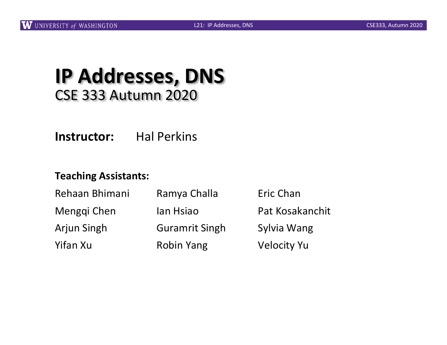#### **IP Addresses, DNS** CSE 333 Autumn 2020

**Instructor:** Hal Perkins

#### **Teaching Assistants:**

| Rehaan Bhimani     | Ramya Challa          | Eric Chan          |  |
|--------------------|-----------------------|--------------------|--|
| Menggi Chen        | lan Hsiao             | Pat Kosakanchit    |  |
| <b>Arjun Singh</b> | <b>Guramrit Singh</b> | Sylvia Wang        |  |
| Yifan Xu           | <b>Robin Yang</b>     | <b>Velocity Yu</b> |  |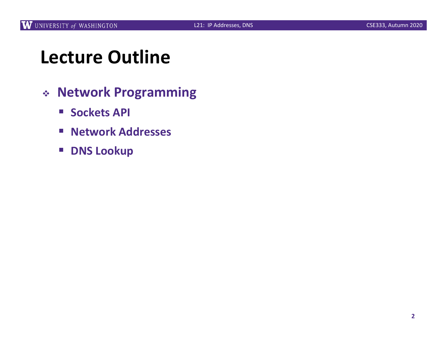## **Lecture Outline**

- <sup>v</sup> **Network Programming**
	- Sockets **API**
	- § **Network Addresses**
	- **DNS Lookup**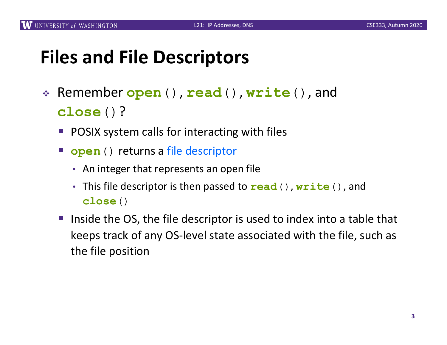## **Files and File Descriptors**

- <sup>v</sup> Remember **open**(), **read**(), **write**(), and **close**()?
	- § POSIX system calls for interacting with files
	- **open** () returns a file descriptor
		- An integer that represents an open file
		- This file descriptor is then passed to **read**(), **write**(), and **close**()
	- Inside the OS, the file descriptor is used to index into a table that keeps track of any OS-level state associated with the file, such as the file position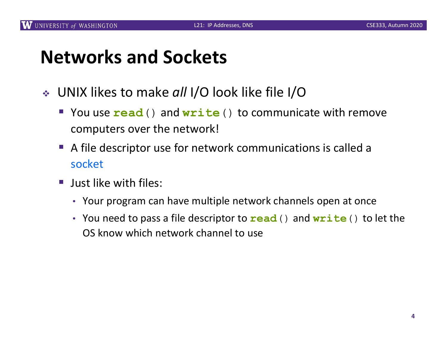## **Networks and Sockets**

- <sup>v</sup> UNIX likes to make *all* I/O look like file I/O
	- § You use **read**() and **write**() to communicate with remove computers over the network!
	- § A file descriptor use for network communications is called a socket
	- Just like with files:
		- Your program can have multiple network channels open at once
		- You need to pass a file descriptor to **read**() and **write**() to let the OS know which network channel to use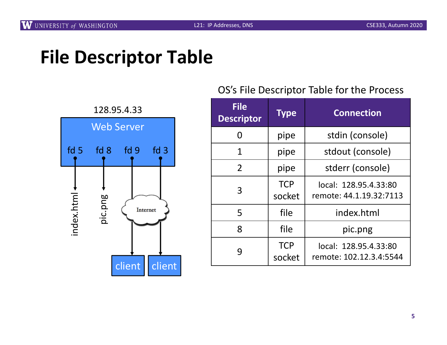

#### OS's File Descriptor Table for the Process

| <b>File</b><br><b>Descriptor</b> | <b>Type</b>          | <b>Connection</b>                                |
|----------------------------------|----------------------|--------------------------------------------------|
| N                                | pipe                 | stdin (console)                                  |
| 1                                | pipe                 | stdout (console)                                 |
| $\overline{2}$                   | pipe                 | stderr (console)                                 |
| 3                                | <b>TCP</b><br>socket | local: 128.95.4.33:80<br>remote: 44.1.19.32:7113 |
| 5                                | file                 | index.html                                       |
| 8                                | file                 | pic.png                                          |
| 9                                | <b>TCP</b><br>socket | local: 128.95.4.33:80<br>remote: 102.12.3.4:5544 |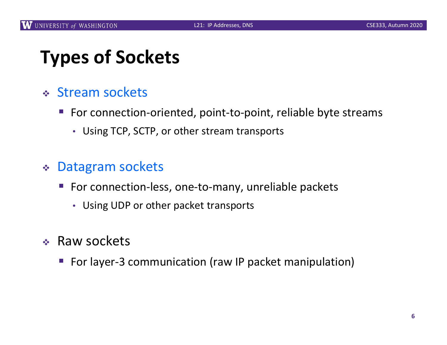# **Types of Sockets**

- <sup>v</sup> Stream sockets
	- § For connection-oriented, point-to-point, reliable byte streams
		- Using TCP, SCTP, or other stream transports

#### <sup>v</sup> Datagram sockets

- For connection-less, one-to-many, unreliable packets
	- Using UDP or other packet transports
- $\div$  Raw sockets
	- For layer-3 communication (raw IP packet manipulation)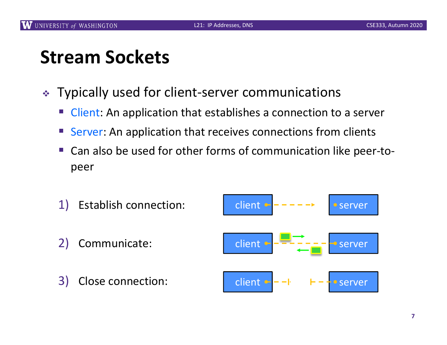## **Stream Sockets**

- ↓ Typically used for client-server communications
	- Client: An application that establishes a connection to a server
	- Server: An application that receives connections from clients
	- § Can also be used for other forms of communication like peer-topeer

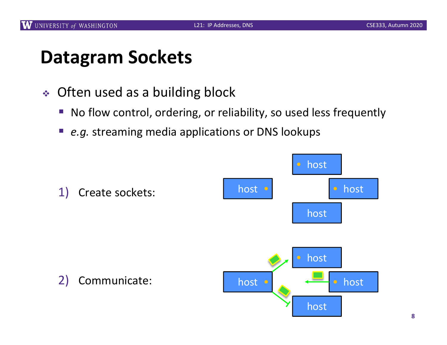## **Datagram Sockets**

- $\triangleleft$  Often used as a building block
	- No flow control, ordering, or reliability, so used less frequently
	- *e.g.* streaming media applications or DNS lookups

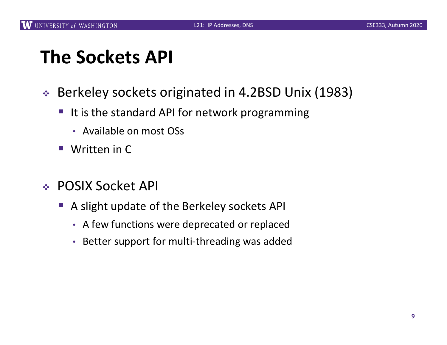## **The Sockets API**

- ◆ Berkeley sockets originated in 4.2BSD Unix (1983)
	- It is the standard API for network programming
		- Available on most OSs
	- Written in C
- <sup>v</sup> POSIX Socket API
	- A slight update of the Berkeley sockets API
		- A few functions were deprecated or replaced
		- Better support for multi-threading was added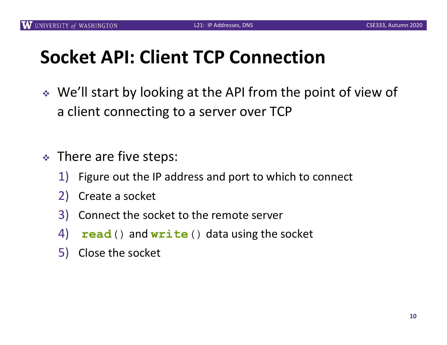# **Socket API: Client TCP Connection**

- ↓ We'll start by looking at the API from the point of view of a client connecting to a server over TCP
- $\cdot$  There are five steps:
	- 1) Figure out the IP address and port to which to connect
	- 2) Create a socket
	- 3) Connect the socket to the remote server
	- 4) .**read**() and **write**() data using the socket
	- 5) Close the socket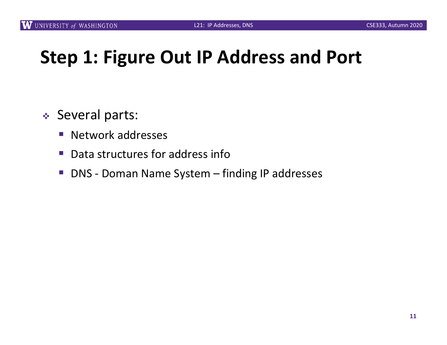## **Step 1: Figure Out IP Address and Port**

- ◆ Several parts:
	- Network addresses
	- Data structures for address info
	- DNS Doman Name System finding IP addresses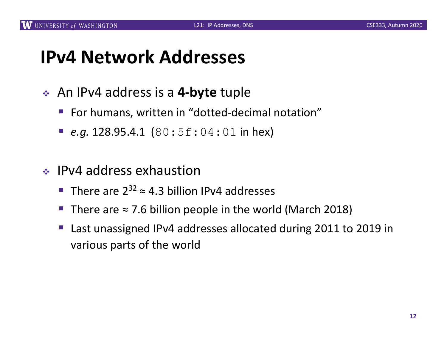## **IPv4 Network Addresses**

- **↓** An IPv4 address is a 4-byte tuple
	- For humans, written in "dotted-decimal notation"
	- *e.g.* 128.95.4.1  $(80:5f:04:01$  in hex)
- $\cdot$  IPv4 address exhaustion
	- There are  $2^{32} \approx 4.3$  billion IPv4 addresses
	- There are  $\approx$  7.6 billion people in the world (March 2018)
	- § Last unassigned IPv4 addresses allocated during 2011 to 2019 in various parts of the world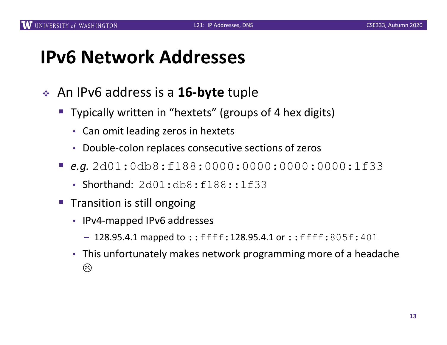## **IPv6 Network Addresses**

- <sup>v</sup> An IPv6 address is a **16-byte** tuple
	- Typically written in "hextets" (groups of 4 hex digits)
		- Can omit leading zeros in hextets
		- Double-colon replaces consecutive sections of zeros
	- § *e.g.* 2d01:0db8:f188:0000:0000:0000:0000:1f33
		- Shorthand: 2d01:db8:f188::1f33
	- § Transition is still ongoing
		- IPv4-mapped IPv6 addresses
			- $-128.95.4.1$  mapped to::ffff:128.95.4.1 or::ffff:805f:401
		- This unfortunately makes network programming more of a headache  $\odot$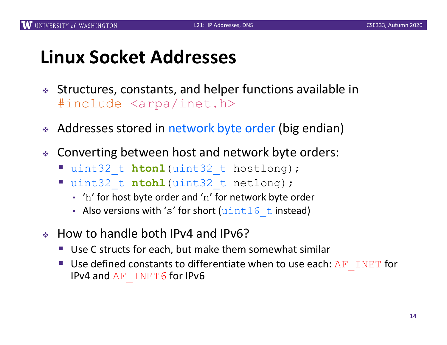## **Linux Socket Addresses**

- <sup>v</sup> Structures, constants, and helper functions available in #include <arpa/inet.h>
- Addresses stored in network byte order (big endian)
- \* Converting between host and network byte orders:
	- § uint32\_t **htonl**(uint32\_t hostlong);
	- § uint32\_t **ntohl**(uint32\_t netlong);
		- $\cdot$  'h' for host byte order and 'n' for network byte order
		- Also versions with 's' for short  $(uint16-t$  instead)
- $\div$  How to handle both IPv4 and IPv6?
	- Use C structs for each, but make them somewhat similar
	- Use defined constants to differentiate when to use each:  $AF$  INET for IPv4 and AF INET6 for IPv6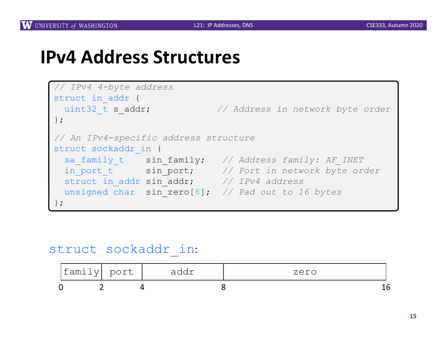#### **IPv4 Address Structures**

```
// IPv4 4-byte address
struct in addr {
 uint32_t s_addr; // Address in network byte order
};
// An IPv4-specific address structure
struct sockaddr in {
  sa_family_t sin_family; // Address family: AF_INET
  in_port_t sin_port; // Port in network byte order
 struct in_addr sin_addr; // IPv4 address
 unsigned char sin_zero[8]; // Pad out to 16 bytes
};
```
#### struct sockaddr\_in:

| $\overline{\phantom{0}}$<br>famil | port<br>$\tau$ $\tau$<br><b>-</b> | ~ ~<br>∽<br>ᅴ<br>$rac{1}{2}$ | zero<br>∼ |
|-----------------------------------|-----------------------------------|------------------------------|-----------|
|                                   |                                   |                              |           |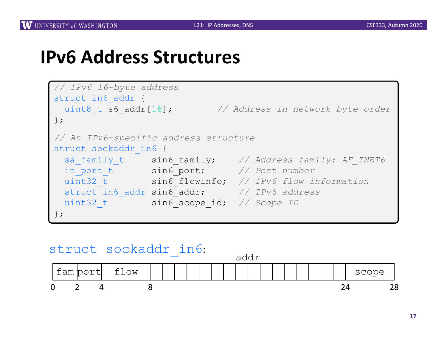#### **IPv6 Address Structures**

```
// IPv6 16-byte address
struct in6 addr {
 uint8_t s6_addr[16]; // Address in network byte order
};
// An IPv6-specific address structure
struct sockaddr in6 {
 sa_family_t sin6_family; // Address family: AF_INET6
 in_port_t sin6_port; // Port number
 uint32_t sin6_flowinfo; // IPv6 flow information
 struct in6_addr sin6_addr; // IPv6 address
 uint32 t sin6 scope id; // Scope ID
};
```
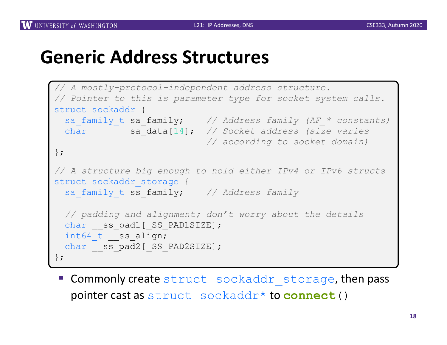## **Generic Address Structures**

```
// A mostly-protocol-independent address structure.
// Pointer to this is parameter type for socket system calls.
struct sockaddr {
 sa_family_t sa_family; // Address family (AF_* constants)
 char sa_data[14]; // Socket address (size varies
                          // according to socket domain)
};
// A structure big enough to hold either IPv4 or IPv6 structs
struct sockaddr storage {
 sa family t ss family; // Address family
 // padding and alignment; don't worry about the details
 char ss pad1[ SS PAD1SIZE];
 int64 t ss align;
 char ss pad2[ SS PAD2SIZE];
};
```
**E** Commonly create struct sockaddr storage, then pass pointer cast as struct sockaddr\* to **connect**()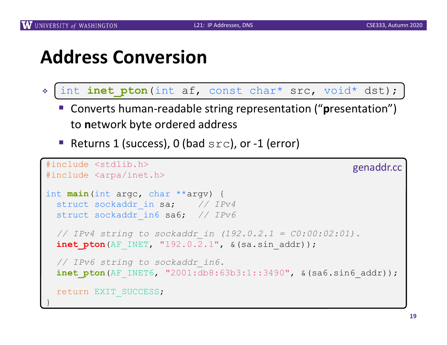#### **Address Conversion**

- \* int inet pton (int af, const char\* src, void\* dst);
	- Converts human-readable string representation ("presentation") to **n**etwork byte ordered address
	- Returns 1 (success), 0 (bad  $src$ ), or -1 (error)

```
#include <stdlib.h>
#include <arpa/inet.h>
int main(int argc, char **argv) {
 struct sockaddr in sa; // IPv4
 struct sockaddr_in6 sa6; // IPv6
 // IPv4 string to sockaddr_in (192.0.2.1 = C0:00:02:01).
 inet pton(AF INET, "192.0.2.1", &(sa.sin addr));
 // IPv6 string to sockaddr_in6.
 inet pton(AF_INET6, "2001:db8:63b3:1::3490", &(sa6.sin6_addr));
 return EXIT_SUCCESS;
}
                                                         genaddr.cc
```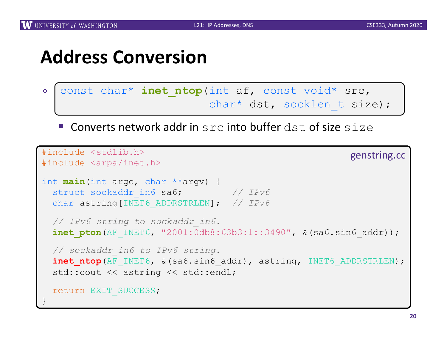## **Address Conversion**

- \* const char\* inet\_ntop(int af, const void\* src, char\* dst, socklen t size);
	- **E.** Converts network addr in src into buffer dst of size size

```
#include <stdlib.h>
#include <arpa/inet.h>
int main(int argc, char **argv) {
 struct sockaddr in6 sa6; // IPv6
 char astring[INET6_ADDRSTRLEN]; // IPv6
 // IPv6 string to sockaddr_in6.
 inet pton(AF_INET6, "2001:0db8:63b3:1::3490", &(sa6.sin6 addr));
 // sockaddr_in6 to IPv6 string.
 inet ntop(AF_INET6, &(sa6.sin6 addr), astring, INET6 ADDRSTRLEN);
 std:: cout << astring << std:: endl;
 return EXIT_SUCCESS;
}
                                                         genstring.cc
```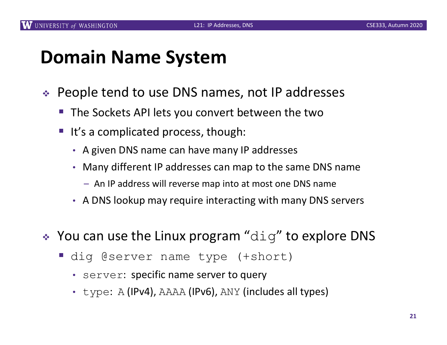#### **Domain Name System**

- ◆ People tend to use DNS names, not IP addresses
	- The Sockets API lets you convert between the two
	- It's a complicated process, though:
		- A given DNS name can have many IP addresses
		- Many different IP addresses can map to the same DNS name
			- An IP address will reverse map into at most one DNS name
		- A DNS lookup may require interacting with many DNS servers
- $\cdot$  You can use the Linux program "dig" to explore DNS
	- dig @server name type (+short)
		- server: specific name server to query
		- type: A (IPv4), AAAA (IPv6), ANY (includes all types)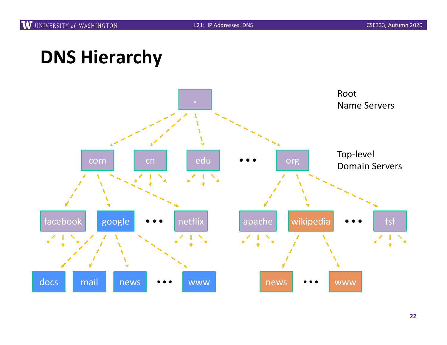# **DNS Hierarchy**

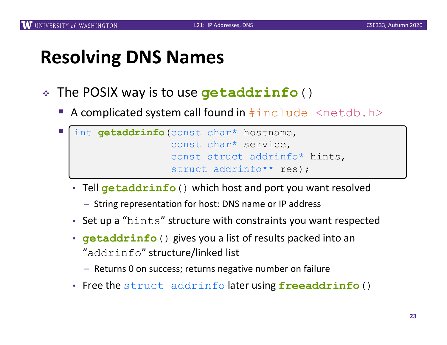## **Resolving DNS Names**

- <sup>v</sup> The POSIX way is to use **getaddrinfo**()
	- A complicated system call found in  $\#\text{include}$   $\leq$  netdb.h>

```
I int getaddrinfo(const char* hostname,
                   const char* service, 
                   const struct addrinfo* hints, 
                   struct addrinfo** res);
```
- Tell **getaddrinfo**() which host and port you want resolved
	- String representation for host: DNS name or IP address
- Set up a "hints" structure with constraints you want respected
- **getaddrinfo**() gives you a list of results packed into an "addrinfo" structure/linked list
	- Returns 0 on success; returns negative number on failure
- Free the struct addrinfo later using **freeaddrinfo**()